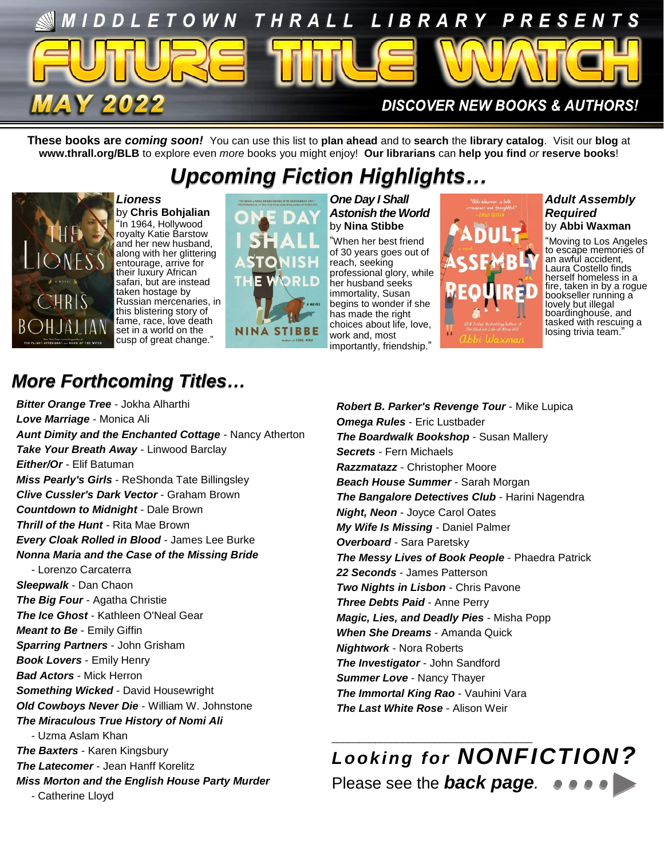

**These books are** *coming soon!* You can use this list to **plan ahead** and to **search** the **library catalog**. Visit our **blog** at **www.thrall.org/BLB** to explore even *more* books you might enjoy! **Our librarians** can **help you find** *or* **reserve books**!

# *Upcoming Fiction Highlights…*



*Lioness* by **Chris Bohjalian** "In 1964, Hollywood royalty Katie Barstow and her new husband, along with her glittering entourage, arrive for their luxury African safari, but are instead taken hostage by Russian mercenaries, in this blistering story of fame, race, love death set in a world on the cusp of great change."



#### *One Day I Shall Astonish the World* by **Nina Stibbe**

"When her best friend of 30 years goes out of reach, seeking professional glory, while her husband seeks immortality, Susan begins to wonder if she has made the right choices about life, love, work and, most importantly, friendship."



### *Adult Assembly Required*  by **Abbi Waxman**

"Moving to Los Angeles to escape memories of an awful accident, Laura Costello finds herself homeless in a fire, taken in by a rogue bookseller running a lovely but illegal boardinghouse, and tasked with rescuing a losing trivia team."

## *More Forthcoming Titles…*

*Bitter Orange Tree* - Jokha Alharthi *Love Marriage* - Monica Ali *Aunt Dimity and the Enchanted Cottage* - Nancy Atherton *Take Your Breath Away* - Linwood Barclay *Either/Or* - Elif Batuman *Miss Pearly's Girls* - ReShonda Tate Billingsley *Clive Cussler's Dark Vector* - Graham Brown *Countdown to Midnight* - Dale Brown *Thrill of the Hunt* - Rita Mae Brown *Every Cloak Rolled in Blood* - James Lee Burke *Nonna Maria and the Case of the Missing Bride* - Lorenzo Carcaterra *Sleepwalk* - Dan Chaon *The Big Four* - Agatha Christie *The Ice Ghost* - Kathleen O'Neal Gear *Meant to Be* - Emily Giffin *Sparring Partners* - John Grisham *Book Lovers* - Emily Henry *Bad Actors* - Mick Herron *Something Wicked* - David Housewright *Old Cowboys Never Die* - William W. Johnstone *The Miraculous True History of Nomi Ali* - Uzma Aslam Khan *The Baxters* - Karen Kingsbury *The Latecomer - Jean Hanff Korelitz Miss Morton and the English House Party Murder* - Catherine Lloyd

*Robert B. Parker's Revenge Tour* - Mike Lupica *Omega Rules* - Eric Lustbader *The Boardwalk Bookshop* - Susan Mallery *Secrets* - Fern Michaels *Razzmatazz* - Christopher Moore *Beach House Summer* - Sarah Morgan *The Bangalore Detectives Club - Harini Nagendra Night, Neon* - Joyce Carol Oates *My Wife Is Missing* - Daniel Palmer *Overboard* - Sara Paretsky *The Messy Lives of Book People* - Phaedra Patrick *22 Seconds* - James Patterson *Two Nights in Lisbon - Chris Pavone Three Debts Paid* - Anne Perry *Magic, Lies, and Deadly Pies* - Misha Popp *When She Dreams* - Amanda Quick *Nightwork* - Nora Roberts *The Investigator* - John Sandford *Summer Love* - Nancy Thayer *The Immortal King Rao - Vauhini Vara The Last White Rose* - Alison Weir

*Looking for NONFICTION?* Please see the *back page.*

\_\_\_\_\_\_\_\_\_\_\_\_\_\_\_\_\_\_\_\_\_\_\_\_\_\_\_\_\_\_\_\_\_\_\_\_\_